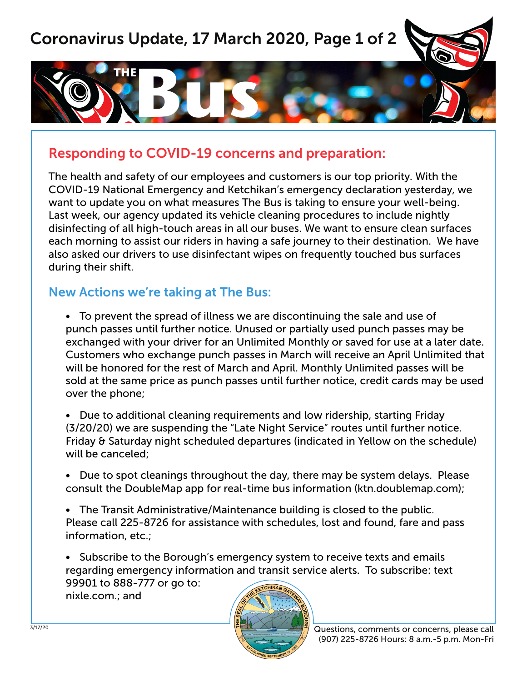# Coronavirus Update, 17 March 2020, Page 1 of 2



### Responding to COVID-19 concerns and preparation:

The health and safety of our employees and customers is our top priority. With the COVID-19 National Emergency and Ketchikan's emergency declaration yesterday, we want to update you on what measures The Bus is taking to ensure your well-being. Last week, our agency updated its vehicle cleaning procedures to include nightly disinfecting of all high-touch areas in all our buses. We want to ensure clean surfaces each morning to assist our riders in having a safe journey to their destination. We have also asked our drivers to use disinfectant wipes on frequently touched bus surfaces during their shift.

### New Actions we're taking at The Bus:

• To prevent the spread of illness we are discontinuing the sale and use of punch passes until further notice. Unused or partially used punch passes may be exchanged with your driver for an Unlimited Monthly or saved for use at a later date. Customers who exchange punch passes in March will receive an April Unlimited that will be honored for the rest of March and April. Monthly Unlimited passes will be sold at the same price as punch passes until further notice, credit cards may be used over the phone;

• Due to additional cleaning requirements and low ridership, starting Friday (3/20/20) we are suspending the "Late Night Service" routes until further notice. Friday & Saturday night scheduled departures (indicated in Yellow on the schedule) will be canceled;

• Due to spot cleanings throughout the day, there may be system delays. Please consult the DoubleMap app for real-time bus information (ktn.doublemap.com);

• The Transit Administrative/Maintenance building is closed to the public. Please call 225-8726 for assistance with schedules, lost and found, fare and pass information, etc.;

• Subscribe to the Borough's emergency system to receive texts and emails regarding emergency information and transit service alerts. To subscribe: text 99901 to 888-777 or go to: nixle.com.; and